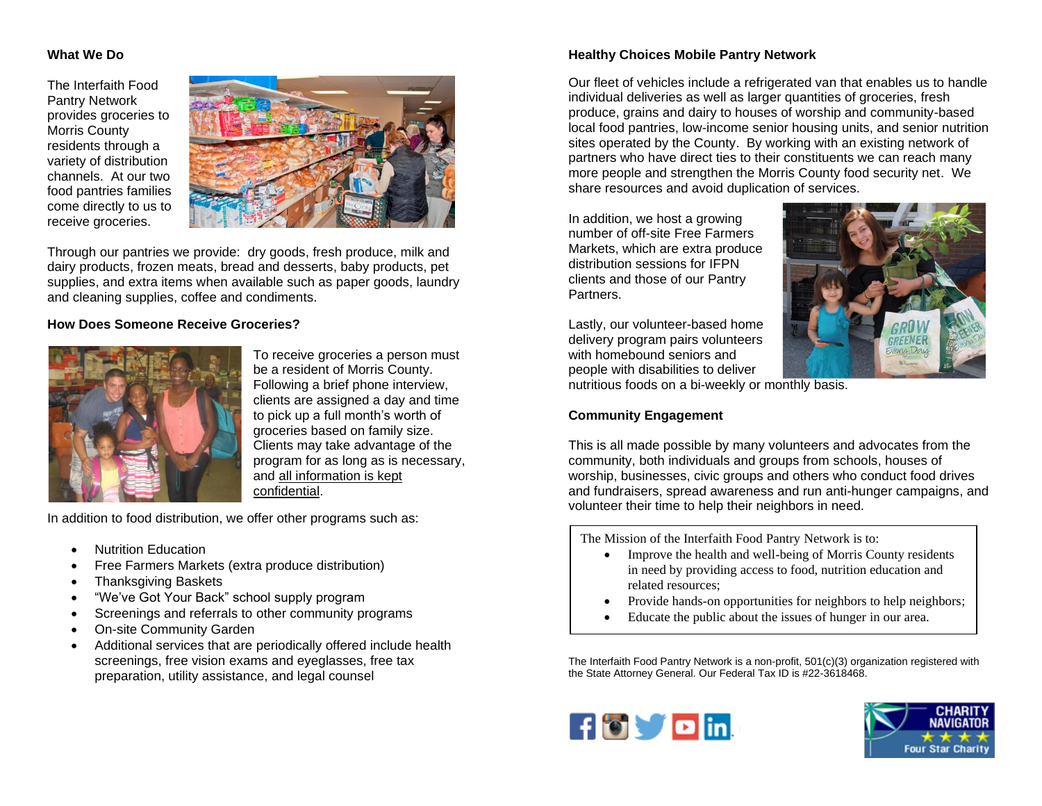### **What We Do**

The Interfaith Food Pantry Network provides groceries to Morris County residents through a variety of distribution channels. At our two food pantries families come directly to us to receive groceries.



Through our pantries we provide: dry goods, fresh produce, milk and dairy products, frozen meats, bread and desserts, baby products, pet supplies, and extra items when available such as paper goods, laundry and cleaning supplies, coffee and condiments.

#### **How Does Someone Receive Groceries?**



To receive groceries a person must be a resident of Morris County. Following a brief phone interview, clients are assigned a day and time to pick up a full month's worth of groceries based on family size. Clients may take advantage of the program for as long as is necessary, and all information is kept confidential.

In addition to food distribution, we offer other programs such as:

- Nutrition Education
- Free Farmers Markets (extra produce distribution)
- Thanksgiving Baskets
- "We've Got Your Back" school supply program
- Screenings and referrals to other community programs
- On-site Community Garden
- Additional services that are periodically offered include health screenings, free vision exams and eyeglasses, free tax preparation, utility assistance, and legal counsel

### **Healthy Choices Mobile Pantry Network**

Our fleet of vehicles include a refrigerated van that enables us to handle individual deliveries as well as larger quantities of groceries, fresh produce, grains and dairy to houses of worship and community-based local food pantries, low-income senior housing units, and senior nutrition sites operated by the County. By working with an existing network of partners who have direct ties to their constituents we can reach many more people and strengthen the Morris County food security net. We share resources and avoid duplication of services.

In addition, we host a growing number of off-site Free Farmers Markets, which are extra produce distribution sessions for IFPN clients and those of our Pantry Partners.

Lastly, our volunteer-based home delivery program pairs volunteers with homebound seniors and people with disabilities to deliver



nutritious foods on a bi-weekly or monthly basis.

## **Community Engagement**

This is all made possible by many volunteers and advocates from the community, both individuals and groups from schools, houses of worship, businesses, civic groups and others who conduct food drives and fundraisers, spread awareness and run anti-hunger campaigns, and volunteer their time to help their neighbors in need.

The Mission of the Interfaith Food Pantry Network is to:

- Improve the health and well-being of Morris County residents in need by providing access to food, nutrition education and related resources;
- Provide hands-on opportunities for neighbors to help neighbors;
- Educate the public about the issues of hunger in our area.

The Interfaith Food Pantry Network is a non-profit, 501(c)(3) organization registered with the State Attorney General. Our Federal Tax ID is #22-3618468.